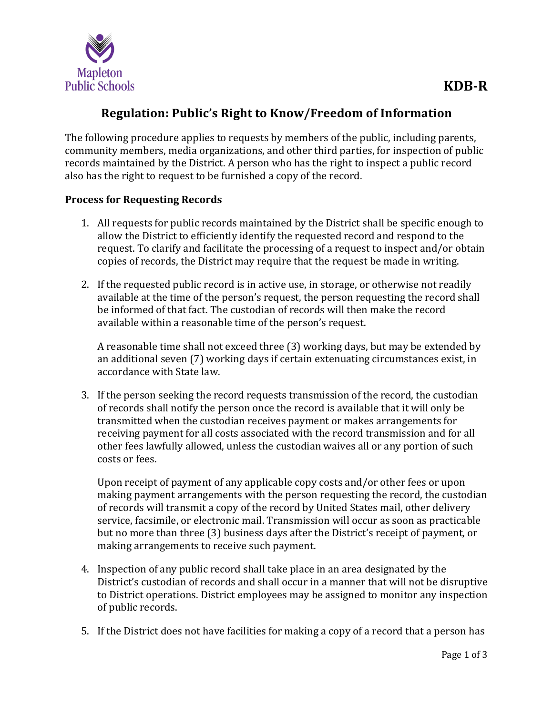

# **Regulation: Public's Right to Know/Freedom of Information**

The following procedure applies to requests by members of the public, including parents, community members, media organizations, and other third parties, for inspection of public records maintained by the District. A person who has the right to inspect a public record also has the right to request to be furnished a copy of the record.

## **Process for Requesting Records**

- 1. All requests for public records maintained by the District shall be specific enough to allow the District to efficiently identify the requested record and respond to the request. To clarify and facilitate the processing of a request to inspect and/or obtain copies of records, the District may require that the request be made in writing.
- 2. If the requested public record is in active use, in storage, or otherwise not readily available at the time of the person's request, the person requesting the record shall be informed of that fact. The custodian of records will then make the record available within a reasonable time of the person's request.

A reasonable time shall not exceed three (3) working days, but may be extended by an additional seven (7) working days if certain extenuating circumstances exist, in accordance with State law.

3. If the person seeking the record requests transmission of the record, the custodian of records shall notify the person once the record is available that it will only be transmitted when the custodian receives payment or makes arrangements for receiving payment for all costs associated with the record transmission and for all other fees lawfully allowed, unless the custodian waives all or any portion of such costs or fees.

Upon receipt of payment of any applicable copy costs and/or other fees or upon making payment arrangements with the person requesting the record, the custodian of records will transmit a copy of the record by United States mail, other delivery service, facsimile, or electronic mail. Transmission will occur as soon as practicable but no more than three (3) business days after the District's receipt of payment, or making arrangements to receive such payment.

- 4. Inspection of any public record shall take place in an area designated by the District's custodian of records and shall occur in a manner that will not be disruptive to District operations. District employees may be assigned to monitor any inspection of public records.
- 5. If the District does not have facilities for making a copy of a record that a person has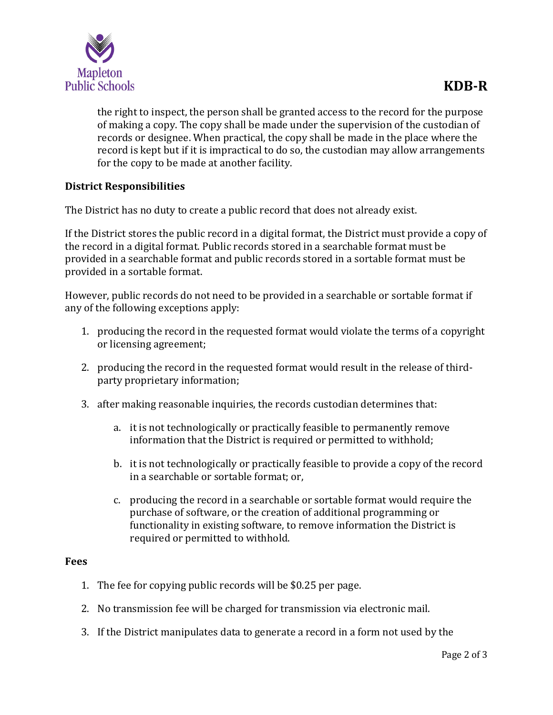

the right to inspect, the person shall be granted access to the record for the purpose of making a copy. The copy shall be made under the supervision of the custodian of records or designee. When practical, the copy shall be made in the place where the record is kept but if it is impractical to do so, the custodian may allow arrangements for the copy to be made at another facility.

# **District Responsibilities**

The District has no duty to create a public record that does not already exist.

If the District stores the public record in a digital format, the District must provide a copy of the record in a digital format. Public records stored in a searchable format must be provided in a searchable format and public records stored in a sortable format must be provided in a sortable format.

However, public records do not need to be provided in a searchable or sortable format if any of the following exceptions apply:

- 1. producing the record in the requested format would violate the terms of a copyright or licensing agreement;
- 2. producing the record in the requested format would result in the release of thirdparty proprietary information;
- 3. after making reasonable inquiries, the records custodian determines that:
	- a. it is not technologically or practically feasible to permanently remove information that the District is required or permitted to withhold;
	- b. it is not technologically or practically feasible to provide a copy of the record in a searchable or sortable format; or,
	- c. producing the record in a searchable or sortable format would require the purchase of software, or the creation of additional programming or functionality in existing software, to remove information the District is required or permitted to withhold.

#### **Fees**

- 1. The fee for copying public records will be \$0.25 per page.
- 2. No transmission fee will be charged for transmission via electronic mail.
- 3. If the District manipulates data to generate a record in a form not used by the